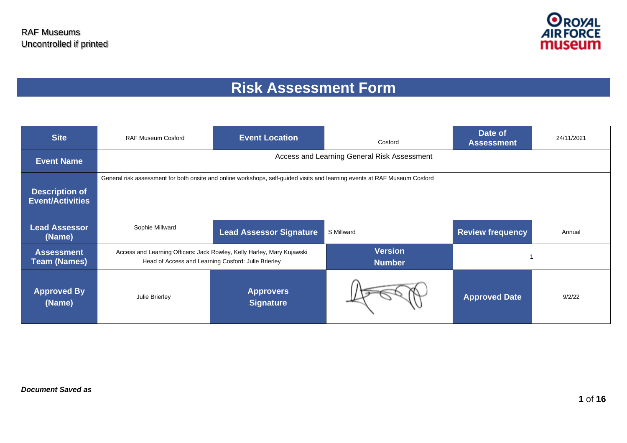

# **Risk Assessment Form**

| <b>Site</b>                                      | <b>RAF Museum Cosford</b> | <b>Event Location</b>                                                                                                         | Cosford                                     | Date of<br><b>Assessment</b> | 24/11/2021 |
|--------------------------------------------------|---------------------------|-------------------------------------------------------------------------------------------------------------------------------|---------------------------------------------|------------------------------|------------|
| <b>Event Name</b>                                |                           |                                                                                                                               | Access and Learning General Risk Assessment |                              |            |
| <b>Description of</b><br><b>Event/Activities</b> |                           | General risk assessment for both onsite and online workshops, self-guided visits and learning events at RAF Museum Cosford    |                                             |                              |            |
| <b>Lead Assessor</b><br>(Name)                   | Sophie Millward           | <b>Lead Assessor Signature</b>                                                                                                | S Millward                                  | <b>Review frequency</b>      | Annual     |
| <b>Assessment</b><br><b>Team (Names)</b>         |                           | Access and Learning Officers: Jack Rowley, Kelly Harley, Mary Kujawski<br>Head of Access and Learning Cosford: Julie Brierley | <b>Version</b><br><b>Number</b>             |                              |            |
| <b>Approved By</b><br>(Name)                     | Julie Brierley            | <b>Approvers</b><br><b>Signature</b>                                                                                          |                                             | <b>Approved Date</b>         | 9/2/22     |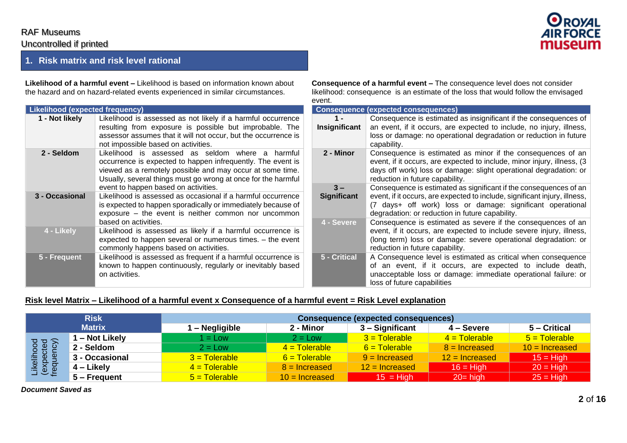#### **1. Risk matrix and risk level rational**

**Likelihood of a harmful event –** Likelihood is based on information known about the hazard and on hazard-related events experienced in similar circumstances.

| <b>Likelihood (expected frequency)</b> |                                                                                                                                                                                                                                                                                          |  |
|----------------------------------------|------------------------------------------------------------------------------------------------------------------------------------------------------------------------------------------------------------------------------------------------------------------------------------------|--|
| 1 - Not likely                         | Likelihood is assessed as not likely if a harmful occurrence<br>resulting from exposure is possible but improbable. The<br>assessor assumes that it will not occur, but the occurrence is<br>not impossible based on activities.                                                         |  |
| 2 - Seldom                             | Likelihood is assessed as seldom where a<br>harmful<br>occurrence is expected to happen infrequently. The event is<br>viewed as a remotely possible and may occur at some time.<br>Usually, several things must go wrong at once for the harmful<br>event to happen based on activities. |  |
| 3 - Occasional                         | Likelihood is assessed as occasional if a harmful occurrence<br>is expected to happen sporadically or immediately because of<br>exposure – the event is neither common nor uncommon<br>based on activities.                                                                              |  |
| 4 - Likely                             | Likelihood is assessed as likely if a harmful occurrence is<br>expected to happen several or numerous times. - the event<br>commonly happens based on activities.                                                                                                                        |  |
| 5 - Frequent                           | Likelihood is assessed as frequent if a harmful occurrence is<br>known to happen continuously, regularly or inevitably based<br>on activities.                                                                                                                                           |  |

**Consequence of a harmful event –** The consequence level does not consider likelihood: consequence is an estimate of the loss that would follow the envisaged event.

|                             | <b>Consequence (expected consequences)</b>                                                                                                                                                                                                                       |
|-----------------------------|------------------------------------------------------------------------------------------------------------------------------------------------------------------------------------------------------------------------------------------------------------------|
| 1 -<br>Insignificant        | Consequence is estimated as insignificant if the consequences of<br>an event, if it occurs, are expected to include, no injury, illness,<br>loss or damage: no operational degradation or reduction in future<br>capability.                                     |
| 2 - Minor                   | Consequence is estimated as minor if the consequences of an<br>event, if it occurs, are expected to include, minor injury, illness, (3)<br>days off work) loss or damage: slight operational degradation: or<br>reduction in future capability.                  |
| $3 -$<br><b>Significant</b> | Consequence is estimated as significant if the consequences of an<br>event, if it occurs, are expected to include, significant injury, illness,<br>(7 days+ off work) loss or damage: significant operational<br>degradation: or reduction in future capability. |
| 4 - Severe                  | Consequence is estimated as severe if the consequences of an<br>event, if it occurs, are expected to include severe injury, illness,<br>(long term) loss or damage: severe operational degradation: or<br>reduction in future capability.                        |
| 5 - Critical                | A Consequence level is estimated as critical when consequence<br>of an event, if it occurs, are expected to include death,<br>unacceptable loss or damage: immediate operational failure: or<br>loss of future capabilities                                      |

#### Risk level Matrix - Likelihood of a harmful event x Consequence of a harmful event = Risk Level explanation

|                                       | <b>Risk</b>    | Consequence (expected consequences) |                        |                  |                  |                  |  |  |  |  |  |  |
|---------------------------------------|----------------|-------------------------------------|------------------------|------------------|------------------|------------------|--|--|--|--|--|--|
|                                       | <b>Matrix</b>  | - Negligible                        | 2 - Minor              | 3 – Significant  | 4 – Severe       | 5 – Critical     |  |  |  |  |  |  |
|                                       | - Not Likely   | $1 = Low$                           | $2 = Low$              | $3$ = Tolerable  | $4 = Tolerable$  | $5 = Tolerable$  |  |  |  |  |  |  |
|                                       | 2 - Seldom     | $2 = Low$                           | $4 = \text{Tolerable}$ | $6$ = Tolerable  | $8 =$ Increased  | $10 =$ Increased |  |  |  |  |  |  |
|                                       | 3 - Occasional | $3$ = Tolerable                     | $6$ = Tolerable        | $9 =$ Increased  | $12$ = Increased | $15 = High$      |  |  |  |  |  |  |
| Likelihood<br>(expected<br>frequency) | 4 – Likely     | $4 = Tolerable$                     | $8 =$ Increased        | $12$ = Increased | $16 =$ High      | $20 = High$      |  |  |  |  |  |  |
|                                       | 5 – Frequent   | $5 = \text{Tolerable}$              | $10 =$ Increased       | $15 = High$      | $20 = high$      | $25 = High$      |  |  |  |  |  |  |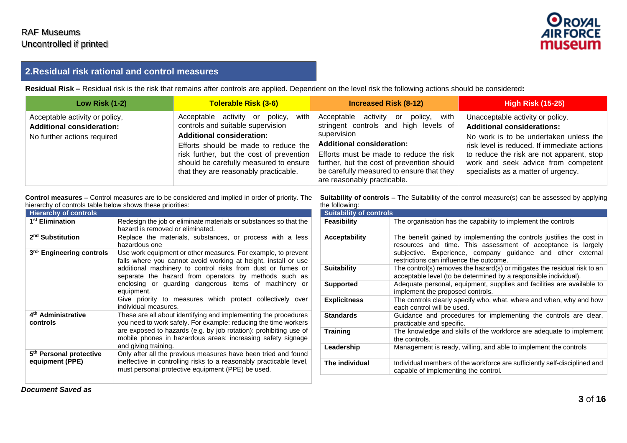

#### **2.Residual risk rational and control measures**

**Residual Risk –** Residual risk is the risk that remains after controls are applied. Dependent on the level risk the following actions should be considered**:**

| <b>Low Risk (1-2)</b>                                                                             | Tolerable Risk (3-6)                                                                                                                                                                                                                                                                   | <b>Increased Risk (8-12)</b>                                                                                                                                                                                                                                                                               | <b>High Risk (15-25)</b>                                                                                                                                                                                                                                                                  |
|---------------------------------------------------------------------------------------------------|----------------------------------------------------------------------------------------------------------------------------------------------------------------------------------------------------------------------------------------------------------------------------------------|------------------------------------------------------------------------------------------------------------------------------------------------------------------------------------------------------------------------------------------------------------------------------------------------------------|-------------------------------------------------------------------------------------------------------------------------------------------------------------------------------------------------------------------------------------------------------------------------------------------|
| Acceptable activity or policy,<br><b>Additional consideration:</b><br>No further actions required | with<br>Acceptable activity or policy,<br>controls and suitable supervision<br><b>Additional consideration:</b><br>Efforts should be made to reduce the<br>risk further, but the cost of prevention<br>should be carefully measured to ensure<br>that they are reasonably practicable. | Acceptable activity or<br>with<br>policy,<br>stringent controls and high levels of<br>supervision<br><b>Additional consideration:</b><br>Efforts must be made to reduce the risk<br>further, but the cost of prevention should<br>be carefully measured to ensure that they<br>are reasonably practicable. | Unacceptable activity or policy.<br><b>Additional considerations:</b><br>No work is to be undertaken unless the<br>risk level is reduced. If immediate actions<br>to reduce the risk are not apparent, stop<br>work and seek advice from competent<br>specialists as a matter of urgency. |

Control measures – Control measures are to be considered and implied in order of priority. The Suitability of controls – The Suitability of the control measure(s) can be assessed by applying hierarchy of controls table below shows these priorities:

| <b>Hierarchy of controls</b>                           |                                                                                                                                                                                                                                                                                                                                                                                                                     |
|--------------------------------------------------------|---------------------------------------------------------------------------------------------------------------------------------------------------------------------------------------------------------------------------------------------------------------------------------------------------------------------------------------------------------------------------------------------------------------------|
| 1 <sup>st</sup> Elimination                            | Redesign the job or eliminate materials or substances so that the<br>hazard is removed or eliminated.                                                                                                                                                                                                                                                                                                               |
| 2 <sup>nd</sup> Substitution                           | Replace the materials, substances, or process with a less<br>hazardous one                                                                                                                                                                                                                                                                                                                                          |
| 3rd- Engineering controls                              | Use work equipment or other measures. For example, to prevent<br>falls where you cannot avoid working at height, install or use<br>additional machinery to control risks from dust or fumes or<br>separate the hazard from operators by methods such as<br>enclosing or guarding dangerous items of machinery or<br>equipment.<br>Give priority to measures which protect collectively over<br>individual measures. |
| 4 <sup>th</sup> Administrative<br>controls             | These are all about identifying and implementing the procedures<br>you need to work safely. For example: reducing the time workers<br>are exposed to hazards (e.g. by job rotation): prohibiting use of<br>mobile phones in hazardous areas: increasing safety signage<br>and giving training.                                                                                                                      |
| 5 <sup>th</sup> Personal protective<br>equipment (PPE) | Only after all the previous measures have been tried and found<br>ineffective in controlling risks to a reasonably practicable level,<br>must personal protective equipment (PPE) be used.                                                                                                                                                                                                                          |

the following:

| <b>Suitability of controls</b> |                                                                                                                                                                                                                                                 |
|--------------------------------|-------------------------------------------------------------------------------------------------------------------------------------------------------------------------------------------------------------------------------------------------|
| <b>Feasibility</b>             | The organisation has the capability to implement the controls                                                                                                                                                                                   |
| <b>Acceptability</b>           | The benefit gained by implementing the controls justifies the cost in<br>resources and time. This assessment of acceptance is largely<br>subjective. Experience, company guidance and other external<br>restrictions can influence the outcome. |
| <b>Suitability</b>             | The control(s) removes the hazard(s) or mitigates the residual risk to an<br>acceptable level (to be determined by a responsible individual).                                                                                                   |
| <b>Supported</b>               | Adequate personal, equipment, supplies and facilities are available to<br>implement the proposed controls.                                                                                                                                      |
| <b>Explicitness</b>            | The controls clearly specify who, what, where and when, why and how<br>each control will be used.                                                                                                                                               |
| <b>Standards</b>               | Guidance and procedures for implementing the controls are clear,<br>practicable and specific.                                                                                                                                                   |
| Training                       | The knowledge and skills of the workforce are adequate to implement<br>the controls.                                                                                                                                                            |
| Leadership                     | Management is ready, willing, and able to implement the controls                                                                                                                                                                                |
| The individual                 | Individual members of the workforce are sufficiently self-disciplined and<br>capable of implementing the control.                                                                                                                               |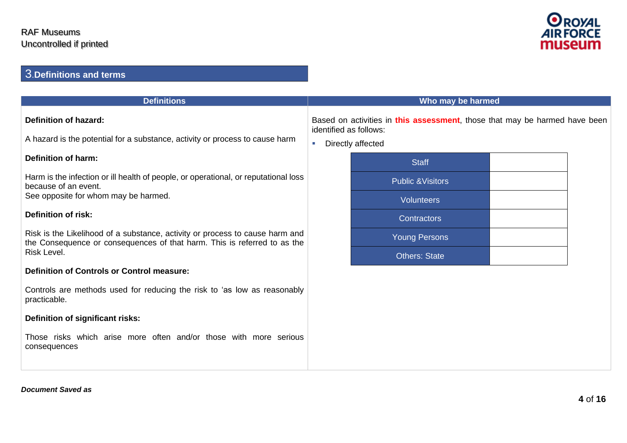

## 3.**Definitions and terms**

| <b>Definitions</b>                                                                                                                                       | Who may be harmed           |                                                                                                                           |  |  |  |  |  |
|----------------------------------------------------------------------------------------------------------------------------------------------------------|-----------------------------|---------------------------------------------------------------------------------------------------------------------------|--|--|--|--|--|
| <b>Definition of hazard:</b><br>A hazard is the potential for a substance, activity or process to cause harm                                             | $\mathcal{L}_{\mathcal{A}}$ | Based on activities in this assessment, those that may be harmed have been<br>identified as follows:<br>Directly affected |  |  |  |  |  |
| <b>Definition of harm:</b>                                                                                                                               |                             | <b>Staff</b>                                                                                                              |  |  |  |  |  |
| Harm is the infection or ill health of people, or operational, or reputational loss<br>because of an event.                                              |                             | <b>Public &amp; Visitors</b>                                                                                              |  |  |  |  |  |
| See opposite for whom may be harmed.                                                                                                                     |                             | <b>Volunteers</b>                                                                                                         |  |  |  |  |  |
| <b>Definition of risk:</b>                                                                                                                               |                             | Contractors                                                                                                               |  |  |  |  |  |
| Risk is the Likelihood of a substance, activity or process to cause harm and<br>the Consequence or consequences of that harm. This is referred to as the |                             | <b>Young Persons</b>                                                                                                      |  |  |  |  |  |
| Risk Level.                                                                                                                                              |                             | <b>Others: State</b>                                                                                                      |  |  |  |  |  |
| <b>Definition of Controls or Control measure:</b>                                                                                                        |                             |                                                                                                                           |  |  |  |  |  |
| Controls are methods used for reducing the risk to 'as low as reasonably<br>practicable.                                                                 |                             |                                                                                                                           |  |  |  |  |  |
| Definition of significant risks:                                                                                                                         |                             |                                                                                                                           |  |  |  |  |  |
| Those risks which arise more often and/or those with more serious<br>consequences                                                                        |                             |                                                                                                                           |  |  |  |  |  |
|                                                                                                                                                          |                             |                                                                                                                           |  |  |  |  |  |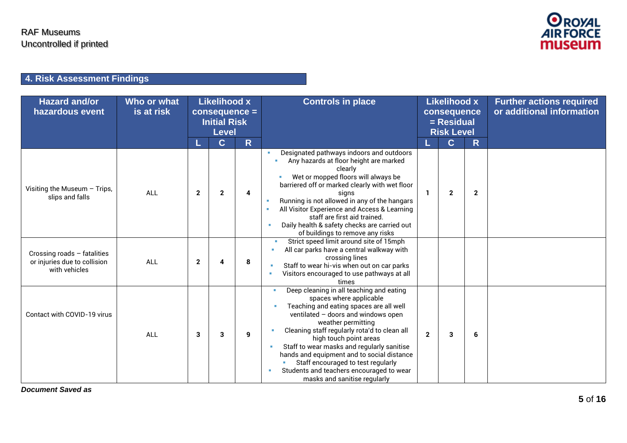

## **4. Risk Assessment Findings**

| <b>Hazard and/or</b><br>hazardous event                                      | Who or what<br>is at risk |              | Likelihood x<br><b>Initial Risk</b><br><b>Level</b> | consequence = | <b>Controls in place</b>                                                                                                                                                                                                                                                                                                                                                                                                                                            |              | Likelihood x<br>consequence<br>$=$ Residual<br><b>Risk Level</b> |              | <b>Further actions required</b><br>or additional information |
|------------------------------------------------------------------------------|---------------------------|--------------|-----------------------------------------------------|---------------|---------------------------------------------------------------------------------------------------------------------------------------------------------------------------------------------------------------------------------------------------------------------------------------------------------------------------------------------------------------------------------------------------------------------------------------------------------------------|--------------|------------------------------------------------------------------|--------------|--------------------------------------------------------------|
|                                                                              |                           |              | $\mathbf{C}$                                        | R.            |                                                                                                                                                                                                                                                                                                                                                                                                                                                                     |              | $\overline{\mathbf{C}}$                                          | R.           |                                                              |
| Visiting the Museum - Trips,<br>slips and falls                              | <b>ALL</b>                | $\mathbf{2}$ | $\mathbf{2}$                                        | 4             | Designated pathways indoors and outdoors<br>Any hazards at floor height are marked<br>clearly<br>Wet or mopped floors will always be<br>barriered off or marked clearly with wet floor<br>signs<br>Running is not allowed in any of the hangars<br>All Visitor Experience and Access & Learning<br>staff are first aid trained.<br>Daily health & safety checks are carried out<br>of buildings to remove any risks                                                 |              | $\mathbf{2}$                                                     | $\mathbf{2}$ |                                                              |
| Crossing roads - fatalities<br>or injuries due to collision<br>with vehicles | ALL                       | $\mathbf{2}$ | Δ                                                   | 8             | Strict speed limit around site of 15mph<br>All car parks have a central walkway with<br>crossing lines<br>Staff to wear hi-vis when out on car parks<br>Visitors encouraged to use pathways at all<br>times                                                                                                                                                                                                                                                         |              |                                                                  |              |                                                              |
| Contact with COVID-19 virus                                                  | ALL                       | 3            | 3                                                   | 9             | Deep cleaning in all teaching and eating<br>spaces where applicable<br>Teaching and eating spaces are all well<br>ventilated - doors and windows open<br>weather permitting<br>Cleaning staff regularly rota'd to clean all<br>high touch point areas<br>Staff to wear masks and regularly sanitise<br>hands and equipment and to social distance<br>Staff encouraged to test regularly<br>Students and teachers encouraged to wear<br>masks and sanitise regularly | $\mathbf{2}$ | 3                                                                | 6            |                                                              |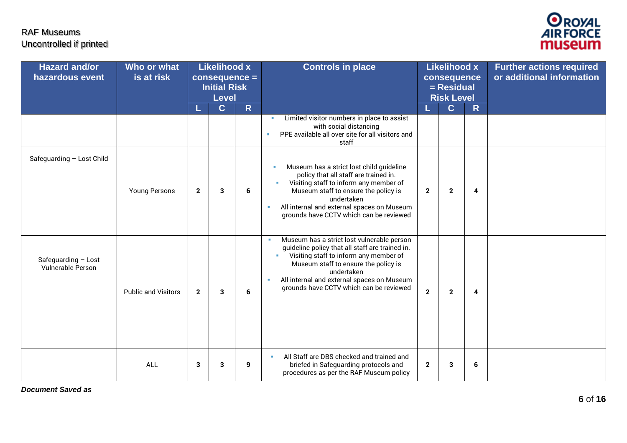

| <b>Hazard and/or</b><br>hazardous event  | Who or what<br>is at risk  | <b>Likelihood x</b><br>consequence =<br><b>Initial Risk</b><br>Level |             | <b>Controls in place</b> |                                                                                                                                                                                                                                                                                        | <b>Likelihood x</b><br>consequence<br>$=$ Residual<br><b>Risk Level</b> |              |   | <b>Further actions required</b><br>or additional information |
|------------------------------------------|----------------------------|----------------------------------------------------------------------|-------------|--------------------------|----------------------------------------------------------------------------------------------------------------------------------------------------------------------------------------------------------------------------------------------------------------------------------------|-------------------------------------------------------------------------|--------------|---|--------------------------------------------------------------|
|                                          |                            |                                                                      | $\mathbf C$ | $\mathsf{R}$             |                                                                                                                                                                                                                                                                                        |                                                                         | $\mathbf{C}$ | R |                                                              |
|                                          |                            |                                                                      |             |                          | Limited visitor numbers in place to assist<br><b>B</b><br>with social distancing<br>PPE available all over site for all visitors and<br>×<br>staff                                                                                                                                     |                                                                         |              |   |                                                              |
| Safeguarding - Lost Child                | <b>Young Persons</b>       | $\overline{2}$                                                       | 3           | 6                        | Museum has a strict lost child guideline<br>policy that all staff are trained in.<br>Visiting staff to inform any member of<br>Museum staff to ensure the policy is<br>undertaken<br>All internal and external spaces on Museum<br>grounds have CCTV which can be reviewed             | $\mathbf{2}$                                                            | $\mathbf{2}$ | 4 |                                                              |
| Safeguarding - Lost<br>Vulnerable Person | <b>Public and Visitors</b> | $\overline{2}$                                                       | 3           | 6                        | Museum has a strict lost vulnerable person<br>guideline policy that all staff are trained in.<br>Visiting staff to inform any member of<br>Museum staff to ensure the policy is<br>undertaken<br>All internal and external spaces on Museum<br>grounds have CCTV which can be reviewed | $\overline{2}$                                                          | $\mathbf{2}$ | 4 |                                                              |
|                                          | ALL                        | 3                                                                    | 3           | 9                        | All Staff are DBS checked and trained and<br>$\mathbf{u}$<br>briefed in Safeguarding protocols and<br>procedures as per the RAF Museum policy                                                                                                                                          | $\overline{\mathbf{2}}$                                                 | 3            | 6 |                                                              |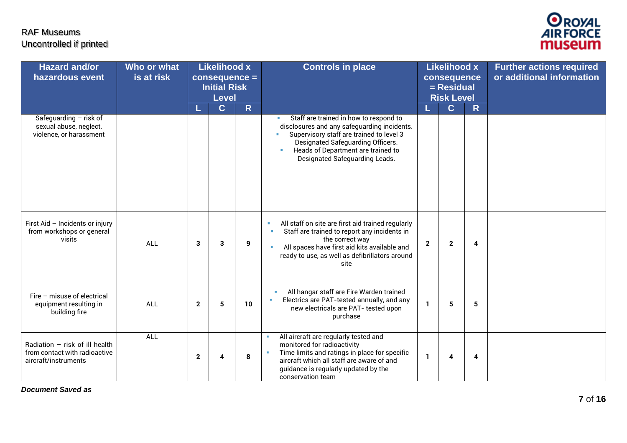

| <b>Hazard and/or</b><br>hazardous event                                                   | Who or what<br>is at risk | <b>Likelihood x</b><br>$consequence =$<br><b>Initial Risk</b><br><b>Level</b> |              |    | <b>Controls in place</b>                                                                                                                                                                                                                                  |                | <b>Likelihood x</b><br>consequence<br>$=$ Residual<br><b>Risk Level</b> |                         | <b>Further actions required</b><br>or additional information |
|-------------------------------------------------------------------------------------------|---------------------------|-------------------------------------------------------------------------------|--------------|----|-----------------------------------------------------------------------------------------------------------------------------------------------------------------------------------------------------------------------------------------------------------|----------------|-------------------------------------------------------------------------|-------------------------|--------------------------------------------------------------|
| Safeguarding - risk of<br>sexual abuse, neglect,<br>violence, or harassment               |                           |                                                                               | $\mathbf{C}$ | R  | Staff are trained in how to respond to<br>disclosures and any safeguarding incidents.<br>Supervisory staff are trained to level 3<br>ä,<br>Designated Safeguarding Officers.<br>Heads of Department are trained to<br>٠<br>Designated Safeguarding Leads. |                | $\mathbf{C}$                                                            | R.                      |                                                              |
| First Aid - Incidents or injury<br>from workshops or general<br>visits                    | <b>ALL</b>                | 3                                                                             | 3            | 9  | All staff on site are first aid trained regularly<br>×<br>Staff are trained to report any incidents in<br>the correct way<br>All spaces have first aid kits available and<br>ready to use, as well as defibrillators around<br>site                       | $\overline{2}$ | $\mathbf{2}$                                                            | $\overline{\mathbf{4}}$ |                                                              |
| Fire - misuse of electrical<br>equipment resulting in<br>building fire                    | <b>ALL</b>                | $\overline{2}$                                                                | 5            | 10 | All hangar staff are Fire Warden trained<br>Electrics are PAT-tested annually, and any<br>new electricals are PAT- tested upon<br>purchase                                                                                                                | $\mathbf{1}$   | 5                                                                       | 5                       |                                                              |
| Radiation $-$ risk of ill health<br>from contact with radioactive<br>aircraft/instruments | <b>ALL</b>                | $\mathbf{2}$                                                                  | 4            | 8  | All aircraft are regularly tested and<br>×<br>monitored for radioactivity<br>Time limits and ratings in place for specific<br>×<br>aircraft which all staff are aware of and<br>guidance is regularly updated by the<br>conservation team                 | -1             | 4                                                                       | 4                       |                                                              |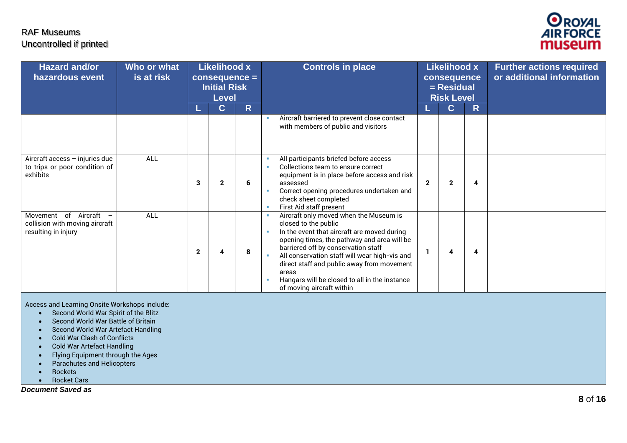

| <b>Hazard and/or</b><br>hazardous event                                                                   | Who or what<br>is at risk | <b>Likelihood x</b><br>$consequence =$<br><b>Initial Risk</b><br><b>Level</b> |              |    | <b>Controls in place</b>                                                                                                                                                                                                                                                                                                                                                                  |              | Likelihood x<br>consequence<br>= Residual<br><b>Risk Level</b> |   | <b>Further actions required</b><br>or additional information |
|-----------------------------------------------------------------------------------------------------------|---------------------------|-------------------------------------------------------------------------------|--------------|----|-------------------------------------------------------------------------------------------------------------------------------------------------------------------------------------------------------------------------------------------------------------------------------------------------------------------------------------------------------------------------------------------|--------------|----------------------------------------------------------------|---|--------------------------------------------------------------|
|                                                                                                           |                           |                                                                               | $\mathbf{C}$ | R. |                                                                                                                                                                                                                                                                                                                                                                                           |              | $\mathbf C$                                                    | R |                                                              |
|                                                                                                           |                           |                                                                               |              |    | Aircraft barriered to prevent close contact<br>with members of public and visitors                                                                                                                                                                                                                                                                                                        |              |                                                                |   |                                                              |
| Aircraft access - injuries due<br>to trips or poor condition of<br>exhibits                               | ALL                       | 3                                                                             | 2            | 6  | All participants briefed before access<br>Collections team to ensure correct<br>equipment is in place before access and risk<br>assessed<br>Correct opening procedures undertaken and<br>check sheet completed<br>First Aid staff present                                                                                                                                                 | $\mathbf{2}$ | $\mathbf{2}$                                                   | 4 |                                                              |
| Movement of Aircraft<br>$\overline{\phantom{m}}$<br>collision with moving aircraft<br>resulting in injury | ALL                       | $\mathbf{2}$                                                                  |              | 8  | Aircraft only moved when the Museum is<br>closed to the public<br>In the event that aircraft are moved during<br>opening times, the pathway and area will be<br>barriered off by conservation staff<br>All conservation staff will wear high-vis and<br>direct staff and public away from movement<br>areas<br>Hangars will be closed to all in the instance<br>of moving aircraft within |              | 4                                                              | 4 |                                                              |

Access and Learning Onsite Workshops include:

- Second World War Spirit of the Blitz
- Second World War Battle of Britain
- Second World War Artefact Handling
- Cold War Clash of Conflicts
- Cold War Artefact Handling
- Flying Equipment through the Ages
- Parachutes and Helicopters
- Rockets
- Rocket Cars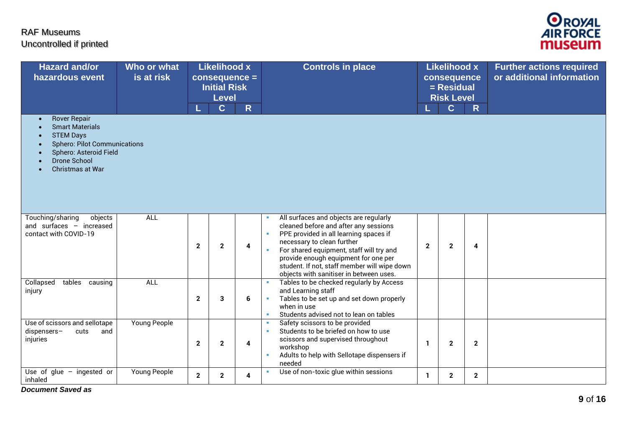

| <b>Hazard and/or</b><br>hazardous event                                                                                                                                       | Who or what<br>is at risk |              | <b>Likelihood x</b><br>consequence =<br><b>Initial Risk</b><br><b>Level</b><br>$\mathbf C$ | $\overline{\mathsf{R}}$ | <b>Controls in place</b>                                                                                                                                                                                                                                                                                                               | <b>Likelihood x</b><br>consequence<br>$=$ Residual<br><b>Risk Level</b><br>$\mathbf C$<br>$\mathsf{R}$ |              |              | <b>Further actions required</b><br>or additional information |
|-------------------------------------------------------------------------------------------------------------------------------------------------------------------------------|---------------------------|--------------|--------------------------------------------------------------------------------------------|-------------------------|----------------------------------------------------------------------------------------------------------------------------------------------------------------------------------------------------------------------------------------------------------------------------------------------------------------------------------------|--------------------------------------------------------------------------------------------------------|--------------|--------------|--------------------------------------------------------------|
| <b>Rover Repair</b><br><b>Smart Materials</b><br><b>STEM Days</b><br><b>Sphero: Pilot Communications</b><br>Sphero: Asteroid Field<br><b>Drone School</b><br>Christmas at War |                           |              |                                                                                            |                         |                                                                                                                                                                                                                                                                                                                                        |                                                                                                        |              |              |                                                              |
| Touching/sharing<br>objects<br>and surfaces $-$ increased<br>contact with COVID-19                                                                                            | ALL                       | $\mathbf{2}$ | $\mathbf{2}$                                                                               | 4                       | All surfaces and objects are regularly<br>cleaned before and after any sessions<br>PPE provided in all learning spaces if<br>necessary to clean further<br>For shared equipment, staff will try and<br>provide enough equipment for one per<br>student. If not, staff member will wipe down<br>objects with sanitiser in between uses. | $\mathbf{2}$                                                                                           | $\mathbf{2}$ | 4            |                                                              |
| tables<br>Collapsed<br>causing<br>injury                                                                                                                                      | ALL                       | $\mathbf{2}$ | 3                                                                                          | 6                       | Tables to be checked regularly by Access<br>and Learning staff<br>Tables to be set up and set down properly<br>٠<br>when in use<br>Students advised not to lean on tables<br>×                                                                                                                                                         |                                                                                                        |              |              |                                                              |
| Use of scissors and sellotape<br>dispensers-<br>cuts<br>and<br>injuries                                                                                                       | Young People              | $\mathbf{2}$ | $\mathbf{2}$                                                                               | 4                       | Safety scissors to be provided<br>٠<br>Students to be briefed on how to use<br>×<br>scissors and supervised throughout<br>workshop<br>Adults to help with Sellotape dispensers if<br>needed                                                                                                                                            | 1                                                                                                      | $\mathbf{2}$ | $\mathbf{2}$ |                                                              |
| Use of glue $-$<br>ingested or<br>inhaled                                                                                                                                     | <b>Young People</b>       | $\mathbf{2}$ | $\mathbf{2}$                                                                               | 4                       | Use of non-toxic glue within sessions<br>×                                                                                                                                                                                                                                                                                             | 1.                                                                                                     | $\mathbf{2}$ | $\mathbf{2}$ |                                                              |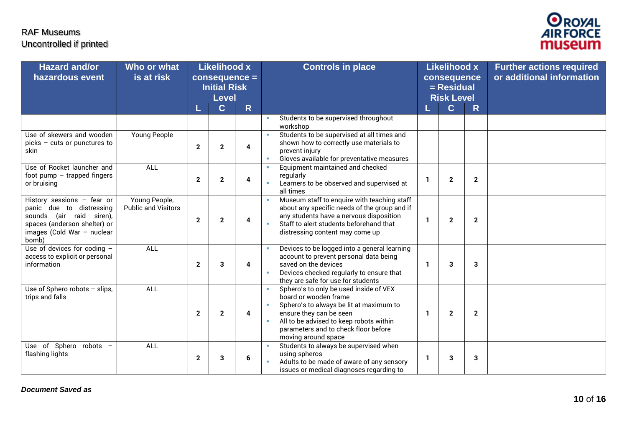

| <b>Hazard and/or</b><br>hazardous event                                                                                                                     | Who or what<br>is at risk                   |              | <b>Likelihood x</b><br>$consequence =$<br><b>Initial Risk</b><br><b>Level</b> |                         |        | <b>Controls in place</b>                                                                                                                                                                                                                        | <b>Likelihood x</b><br>consequence<br>= Residual<br><b>Risk Level</b> |                |                         | <b>Further actions required</b><br>or additional information |
|-------------------------------------------------------------------------------------------------------------------------------------------------------------|---------------------------------------------|--------------|-------------------------------------------------------------------------------|-------------------------|--------|-------------------------------------------------------------------------------------------------------------------------------------------------------------------------------------------------------------------------------------------------|-----------------------------------------------------------------------|----------------|-------------------------|--------------------------------------------------------------|
|                                                                                                                                                             |                                             |              | $\mathbf{C}$                                                                  | $\mathsf{R}$            |        |                                                                                                                                                                                                                                                 |                                                                       | $\overline{C}$ | $\overline{\mathsf{R}}$ |                                                              |
|                                                                                                                                                             |                                             |              |                                                                               |                         |        | Students to be supervised throughout<br>workshop                                                                                                                                                                                                |                                                                       |                |                         |                                                              |
| Use of skewers and wooden<br>picks - cuts or punctures to<br>skin                                                                                           | <b>Young People</b>                         | $\mathbf{2}$ | $\mathbf{2}$                                                                  | 4                       |        | Students to be supervised at all times and<br>shown how to correctly use materials to<br>prevent injury<br>Gloves available for preventative measures                                                                                           |                                                                       |                |                         |                                                              |
| Use of Rocket launcher and<br>foot pump $-$ trapped fingers<br>or bruising                                                                                  | <b>ALL</b>                                  | $\mathbf{2}$ | $\mathbf{2}$                                                                  | 4                       |        | Equipment maintained and checked<br>regularly<br>Learners to be observed and supervised at<br>all times                                                                                                                                         | -1                                                                    | $\mathbf{2}$   | $\mathbf{2}$            |                                                              |
| History sessions $-$ fear or<br>panic due to distressing<br>sounds (air raid siren),<br>spaces (anderson shelter) or<br>images (Cold War - nuclear<br>bomb) | Young People,<br><b>Public and Visitors</b> | $\mathbf{2}$ | $\mathbf{2}$                                                                  | 4                       |        | Museum staff to enquire with teaching staff<br>about any specific needs of the group and if<br>any students have a nervous disposition<br>Staff to alert students beforehand that<br>distressing content may come up                            | -1                                                                    | $\mathbf 2$    | $\mathbf{2}$            |                                                              |
| Use of devices for coding -<br>access to explicit or personal<br>information                                                                                | <b>ALL</b>                                  | $\mathbf 2$  | 3                                                                             | 4                       |        | Devices to be logged into a general learning<br>account to prevent personal data being<br>saved on the devices<br>Devices checked regularly to ensure that<br>they are safe for use for students                                                | -1                                                                    | 3              | 3                       |                                                              |
| Use of Sphero robots $-$ slips,<br>trips and falls                                                                                                          | <b>ALL</b>                                  | $\mathbf{2}$ | $\mathbf{2}$                                                                  | $\overline{\mathbf{4}}$ | ٠<br>× | Sphero's to only be used inside of VEX<br>board or wooden frame<br>Sphero's to always be lit at maximum to<br>ensure they can be seen<br>All to be advised to keep robots within<br>parameters and to check floor before<br>moving around space | -1                                                                    | $\mathbf{2}$   | $\mathbf{2}$            |                                                              |
| Use of Sphero robots -<br>flashing lights                                                                                                                   | <b>ALL</b>                                  | $\mathbf{2}$ | 3                                                                             | 6                       |        | Students to always be supervised when<br>using spheros<br>Adults to be made of aware of any sensory<br>issues or medical diagnoses regarding to                                                                                                 | -1                                                                    | 3              | 3                       |                                                              |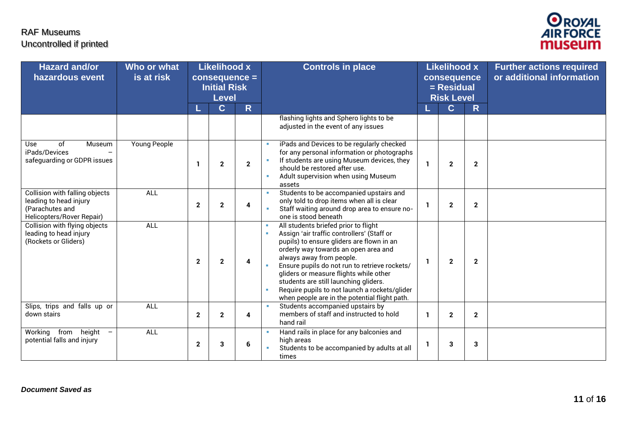

| <b>Hazard and/or</b><br>hazardous event                                                                         | Who or what<br>is at risk |              | <b>Likelihood x</b><br>$consequence =$<br><b>Initial Risk</b><br><b>Level</b> |              | <b>Controls in place</b>                                                                                                                                                                                                                                                                                                                                                                                                                                  |              | <b>Likelihood x</b><br>consequence<br>$=$ Residual<br><b>Risk Level</b> |              | <b>Further actions required</b><br>or additional information |
|-----------------------------------------------------------------------------------------------------------------|---------------------------|--------------|-------------------------------------------------------------------------------|--------------|-----------------------------------------------------------------------------------------------------------------------------------------------------------------------------------------------------------------------------------------------------------------------------------------------------------------------------------------------------------------------------------------------------------------------------------------------------------|--------------|-------------------------------------------------------------------------|--------------|--------------------------------------------------------------|
|                                                                                                                 |                           |              | $\mathbf{C}$                                                                  | $\mathsf{R}$ |                                                                                                                                                                                                                                                                                                                                                                                                                                                           |              | $\overline{\mathbf{C}}$                                                 | $\mathsf{R}$ |                                                              |
|                                                                                                                 |                           |              |                                                                               |              | flashing lights and Sphero lights to be<br>adjusted in the event of any issues                                                                                                                                                                                                                                                                                                                                                                            |              |                                                                         |              |                                                              |
| <sub>of</sub><br><b>Use</b><br>Museum<br>iPads/Devices<br>safeguarding or GDPR issues                           | <b>Young People</b>       | -1           | $\overline{2}$                                                                | $\mathbf{2}$ | iPads and Devices to be regularly checked<br>for any personal information or photographs<br>If students are using Museum devices, they<br>should be restored after use.<br>Adult supervision when using Museum<br>assets                                                                                                                                                                                                                                  |              | $\overline{2}$                                                          | $\mathbf{2}$ |                                                              |
| <b>Collision with falling objects</b><br>leading to head injury<br>(Parachutes and<br>Helicopters/Rover Repair) | ALL                       | $\mathbf{2}$ | $\overline{2}$                                                                | 4            | Students to be accompanied upstairs and<br>only told to drop items when all is clear<br>Staff waiting around drop area to ensure no-<br>one is stood beneath                                                                                                                                                                                                                                                                                              |              | 2                                                                       | $\mathbf{2}$ |                                                              |
| Collision with flying objects<br>leading to head injury<br>(Rockets or Gliders)                                 | ALL                       | $\mathbf{2}$ | $\mathbf{2}$                                                                  | 4            | All students briefed prior to flight<br>Assign 'air traffic controllers' (Staff or<br>$\mathbf{u}$<br>pupils) to ensure gliders are flown in an<br>orderly way towards an open area and<br>always away from people.<br>Ensure pupils do not run to retrieve rockets/<br>gliders or measure flights while other<br>students are still launching gliders.<br>Require pupils to not launch a rockets/glider<br>when people are in the potential flight path. | $\mathbf{1}$ | $\mathbf 2$                                                             | $\mathbf{2}$ |                                                              |
| Slips, trips and falls up or<br>down stairs                                                                     | ALL                       | $\mathbf{2}$ | $\mathbf{2}$                                                                  | 4            | Students accompanied upstairs by<br>members of staff and instructed to hold<br>hand rail                                                                                                                                                                                                                                                                                                                                                                  | -1           | $\mathbf{2}$                                                            | $\mathbf{2}$ |                                                              |
| Working from height<br>$\overline{\phantom{m}}$<br>potential falls and injury                                   | ALL                       | $\mathbf{2}$ | 3                                                                             | 6            | Hand rails in place for any balconies and<br>high areas<br>Students to be accompanied by adults at all<br>times                                                                                                                                                                                                                                                                                                                                           | -1           | 3                                                                       | 3            |                                                              |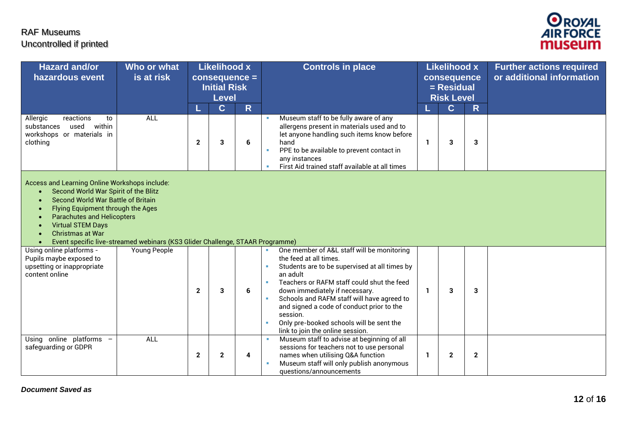

| <b>Hazard and/or</b><br>hazardous event                                                                                                                                                                                                                                   | Who or what<br>is at risk                                                     |                   | <b>Likelihood x</b><br>$consequence =$<br><b>Initial Risk</b><br><b>Level</b> |         | <b>Controls in place</b>                                                                                                                                                                                                                                                                                                                                                                                           | <b>Likelihood x</b><br>consequence<br>$=$ Residual<br><b>Risk Level</b> |                  |              | <b>Further actions required</b><br>or additional information |
|---------------------------------------------------------------------------------------------------------------------------------------------------------------------------------------------------------------------------------------------------------------------------|-------------------------------------------------------------------------------|-------------------|-------------------------------------------------------------------------------|---------|--------------------------------------------------------------------------------------------------------------------------------------------------------------------------------------------------------------------------------------------------------------------------------------------------------------------------------------------------------------------------------------------------------------------|-------------------------------------------------------------------------|------------------|--------------|--------------------------------------------------------------|
| Allergic<br>reactions<br>to<br>within<br>substances<br>used<br>workshops or materials in<br>clothing                                                                                                                                                                      | <b>ALL</b>                                                                    | L<br>$\mathbf{2}$ | $\mathbf C$<br>3                                                              | R.<br>6 | Museum staff to be fully aware of any<br>allergens present in materials used and to<br>let anyone handling such items know before<br>hand<br>PPE to be available to prevent contact in<br>×<br>any instances<br>First Aid trained staff available at all times                                                                                                                                                     | -1                                                                      | $\mathbf C$<br>3 | R<br>3       |                                                              |
| Access and Learning Online Workshops include:<br>Second World War Spirit of the Blitz<br>$\bullet$<br>Second World War Battle of Britain<br>Flying Equipment through the Ages<br><b>Parachutes and Helicopters</b><br><b>Virtual STEM Days</b><br><b>Christmas at War</b> | Event specific live-streamed webinars (KS3 Glider Challenge, STAAR Programme) |                   |                                                                               |         |                                                                                                                                                                                                                                                                                                                                                                                                                    |                                                                         |                  |              |                                                              |
| Using online platforms -<br>Pupils maybe exposed to<br>upsetting or inappropriate<br>content online                                                                                                                                                                       | Young People                                                                  | $\mathbf{2}$      | 3                                                                             | 6       | One member of A&L staff will be monitoring<br>the feed at all times.<br>Students are to be supervised at all times by<br>an adult<br>Teachers or RAFM staff could shut the feed<br>×<br>down immediately if necessary.<br>Schools and RAFM staff will have agreed to<br>and signed a code of conduct prior to the<br>session.<br>Only pre-booked schools will be sent the<br>×<br>link to join the online session. | $\mathbf{1}$                                                            | 3                | 3            |                                                              |
| Using online platforms -<br>safeguarding or GDPR                                                                                                                                                                                                                          | <b>ALL</b>                                                                    | $\mathbf{2}$      | $\mathbf{2}$                                                                  | 4       | Museum staff to advise at beginning of all<br>sessions for teachers not to use personal<br>names when utilising Q&A function<br>Museum staff will only publish anonymous<br>questions/announcements                                                                                                                                                                                                                | -1                                                                      | $\mathbf 2$      | $\mathbf{2}$ |                                                              |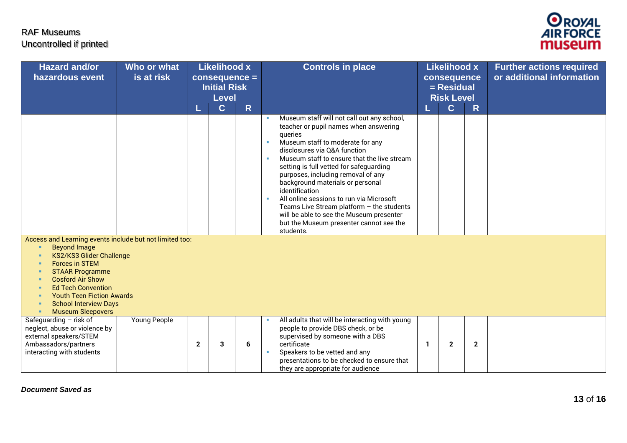

| <b>Hazard and/or</b><br>hazardous event                                                                                                                                                                                                                                                                                                             | Who or what<br>is at risk |              | <b>Likelihood x</b><br>$consequence =$<br><b>Initial Risk</b><br><b>Level</b> |              | <b>Controls in place</b><br><b>Likelihood x</b><br><b>Further actions required</b><br>or additional information<br>consequence<br>$=$ Residual<br><b>Risk Level</b>                                                                                                                                                                                                                                                                                                                                                                                                          |  |
|-----------------------------------------------------------------------------------------------------------------------------------------------------------------------------------------------------------------------------------------------------------------------------------------------------------------------------------------------------|---------------------------|--------------|-------------------------------------------------------------------------------|--------------|------------------------------------------------------------------------------------------------------------------------------------------------------------------------------------------------------------------------------------------------------------------------------------------------------------------------------------------------------------------------------------------------------------------------------------------------------------------------------------------------------------------------------------------------------------------------------|--|
|                                                                                                                                                                                                                                                                                                                                                     |                           |              | $\mathbf C$                                                                   | $\mathsf{R}$ | $\overline{C}$<br>$\mathsf{R}$<br>Museum staff will not call out any school,<br>teacher or pupil names when answering<br>queries<br>Museum staff to moderate for any<br>disclosures via O&A function<br>Museum staff to ensure that the live stream<br>setting is full vetted for safeguarding<br>purposes, including removal of any<br>background materials or personal<br>identification<br>All online sessions to run via Microsoft<br>Teams Live Stream platform $-$ the students<br>will be able to see the Museum presenter<br>but the Museum presenter cannot see the |  |
| Access and Learning events include but not limited too:<br><b>Beyond Image</b><br>×<br>KS2/KS3 Glider Challenge<br>×<br><b>Forces in STEM</b><br>л<br><b>STAAR Programme</b><br><b>Cosford Air Show</b><br>л<br><b>Ed Tech Convention</b><br><b>Youth Teen Fiction Awards</b><br><b>School Interview Days</b><br>л<br><b>Museum Sleepovers</b><br>× |                           |              |                                                                               |              | students.                                                                                                                                                                                                                                                                                                                                                                                                                                                                                                                                                                    |  |
| Safequarding $-$ risk of<br>neglect, abuse or violence by<br>external speakers/STEM<br>Ambassadors/partners<br>interacting with students                                                                                                                                                                                                            | Young People              | $\mathbf{2}$ | 3                                                                             | 6            | All adults that will be interacting with young<br>people to provide DBS check, or be<br>supervised by someone with a DBS<br>certificate<br>$\mathbf{2}$<br>$\mathbf{2}$<br>-1<br>Speakers to be vetted and any<br>presentations to be checked to ensure that<br>they are appropriate for audience                                                                                                                                                                                                                                                                            |  |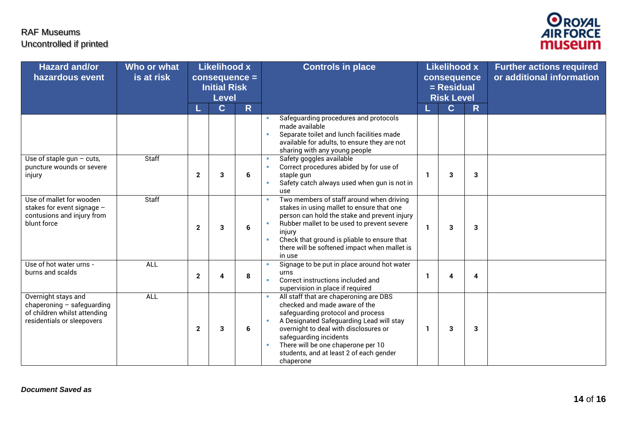

| <b>Hazard and/or</b><br>hazardous event                                                                         | Who or what<br>is at risk |              | <b>Likelihood x</b><br>$consequence =$<br><b>Initial Risk</b><br><b>Level</b> |                         | <b>Controls in place</b>                                                                                                                                                                                                                                                                                                            | <b>Likelihood x</b><br>consequence<br>= Residual<br><b>Risk Level</b> |              |                         | <b>Further actions required</b><br>or additional information |
|-----------------------------------------------------------------------------------------------------------------|---------------------------|--------------|-------------------------------------------------------------------------------|-------------------------|-------------------------------------------------------------------------------------------------------------------------------------------------------------------------------------------------------------------------------------------------------------------------------------------------------------------------------------|-----------------------------------------------------------------------|--------------|-------------------------|--------------------------------------------------------------|
|                                                                                                                 |                           |              | $\mathbf{C}$                                                                  | $\overline{\mathsf{R}}$ |                                                                                                                                                                                                                                                                                                                                     |                                                                       | $\mathbf{C}$ | R                       |                                                              |
|                                                                                                                 |                           |              |                                                                               |                         | Safeguarding procedures and protocols<br>made available<br>Separate toilet and lunch facilities made<br>٠<br>available for adults, to ensure they are not<br>sharing with any young people                                                                                                                                          |                                                                       |              |                         |                                                              |
| Use of staple gun $-$ cuts,<br>puncture wounds or severe<br>injury                                              | Staff                     | $\mathbf{2}$ | 3                                                                             | 6                       | Safety goggles available<br>٠<br>Correct procedures abided by for use of<br>٠<br>staple qun<br>Safety catch always used when gun is not in<br>$\mathbf{u}$<br>use                                                                                                                                                                   | -1                                                                    | 3            | 3                       |                                                              |
| Use of mallet for wooden<br>stakes for event signage -<br>contusions and injury from<br>blunt force             | Staff                     | $\mathbf{2}$ | 3                                                                             | 6                       | Two members of staff around when driving<br>٠<br>stakes in using mallet to ensure that one<br>person can hold the stake and prevent injury<br>Rubber mallet to be used to prevent severe<br>injury<br>Check that ground is pliable to ensure that<br>٠<br>there will be softened impact when mallet is<br>in use                    | -1                                                                    | 3            | 3                       |                                                              |
| Use of hot water urns -<br>burns and scalds                                                                     | ALL                       | $\mathbf{2}$ | 4                                                                             | 8                       | Signage to be put in place around hot water<br>urns<br>Correct instructions included and<br>supervision in place if required                                                                                                                                                                                                        | -1                                                                    | 4            | $\overline{\mathbf{4}}$ |                                                              |
| Overnight stays and<br>chaperoning - safeguarding<br>of children whilst attending<br>residentials or sleepovers | <b>ALL</b>                | $\mathbf{2}$ | 3                                                                             | 6                       | All staff that are chaperoning are DBS<br>checked and made aware of the<br>safeguarding protocol and process<br>A Designated Safeguarding Lead will stay<br>٠<br>overnight to deal with disclosures or<br>safeguarding incidents<br>There will be one chaperone per 10<br>×<br>students, and at least 2 of each gender<br>chaperone | -1                                                                    | 3            | 3                       |                                                              |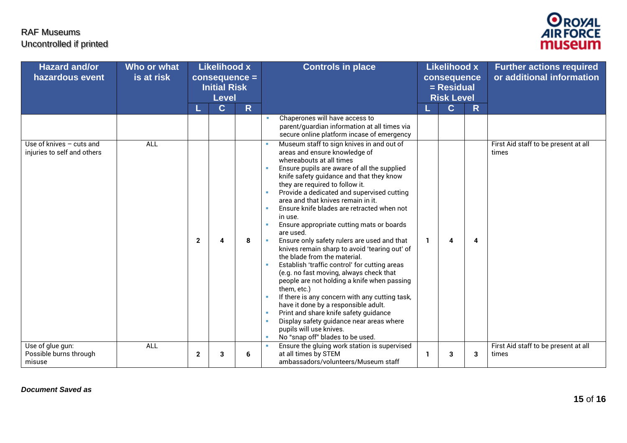

| <b>Hazard and/or</b><br>hazardous event                 | Who or what<br>is at risk | <b>Likelihood x</b><br>$consequence =$<br><b>Initial Risk</b><br><b>Level</b> |             | <b>Controls in place</b> |                                                                                                                                                                                                                                                                                                                                                                                                                                                                                                                                                                                                                                                                                                                                                                                                                                                                                                                                                                                               |              | <b>Likelihood x</b><br>consequence<br>$=$ Residual<br><b>Risk Level</b> |   | <b>Further actions required</b><br>or additional information |
|---------------------------------------------------------|---------------------------|-------------------------------------------------------------------------------|-------------|--------------------------|-----------------------------------------------------------------------------------------------------------------------------------------------------------------------------------------------------------------------------------------------------------------------------------------------------------------------------------------------------------------------------------------------------------------------------------------------------------------------------------------------------------------------------------------------------------------------------------------------------------------------------------------------------------------------------------------------------------------------------------------------------------------------------------------------------------------------------------------------------------------------------------------------------------------------------------------------------------------------------------------------|--------------|-------------------------------------------------------------------------|---|--------------------------------------------------------------|
|                                                         |                           |                                                                               | $\mathbf C$ | R                        |                                                                                                                                                                                                                                                                                                                                                                                                                                                                                                                                                                                                                                                                                                                                                                                                                                                                                                                                                                                               |              | $\mathbf C$                                                             | R |                                                              |
|                                                         |                           |                                                                               |             |                          | Chaperones will have access to<br>parent/guardian information at all times via<br>secure online platform incase of emergency                                                                                                                                                                                                                                                                                                                                                                                                                                                                                                                                                                                                                                                                                                                                                                                                                                                                  |              |                                                                         |   |                                                              |
| Use of knives - cuts and<br>injuries to self and others | <b>ALL</b>                | $\mathbf{2}$                                                                  |             | 8                        | Museum staff to sign knives in and out of<br>areas and ensure knowledge of<br>whereabouts at all times<br>Ensure pupils are aware of all the supplied<br>knife safety guidance and that they know<br>they are required to follow it.<br>Provide a dedicated and supervised cutting<br>area and that knives remain in it.<br>Ensure knife blades are retracted when not<br>in use.<br>Ensure appropriate cutting mats or boards<br>are used.<br>Ensure only safety rulers are used and that<br>knives remain sharp to avoid 'tearing out' of<br>the blade from the material.<br>Establish 'traffic control' for cutting areas<br>(e.g. no fast moving, always check that<br>people are not holding a knife when passing<br>them, etc.)<br>If there is any concern with any cutting task,<br>have it done by a responsible adult.<br>Print and share knife safety guidance<br>×<br>Display safety guidance near areas where<br>×<br>pupils will use knives.<br>No "snap off" blades to be used. | $\mathbf{1}$ | 4                                                                       | 4 | First Aid staff to be present at all<br>times                |
| Use of glue gun:<br>Possible burns through<br>misuse    | <b>ALL</b>                | $\mathbf{2}$                                                                  | 3           | 6                        | Ensure the gluing work station is supervised<br><b>III</b><br>at all times by STEM<br>ambassadors/volunteers/Museum staff                                                                                                                                                                                                                                                                                                                                                                                                                                                                                                                                                                                                                                                                                                                                                                                                                                                                     | -1           | 3                                                                       | 3 | First Aid staff to be present at all<br>times                |